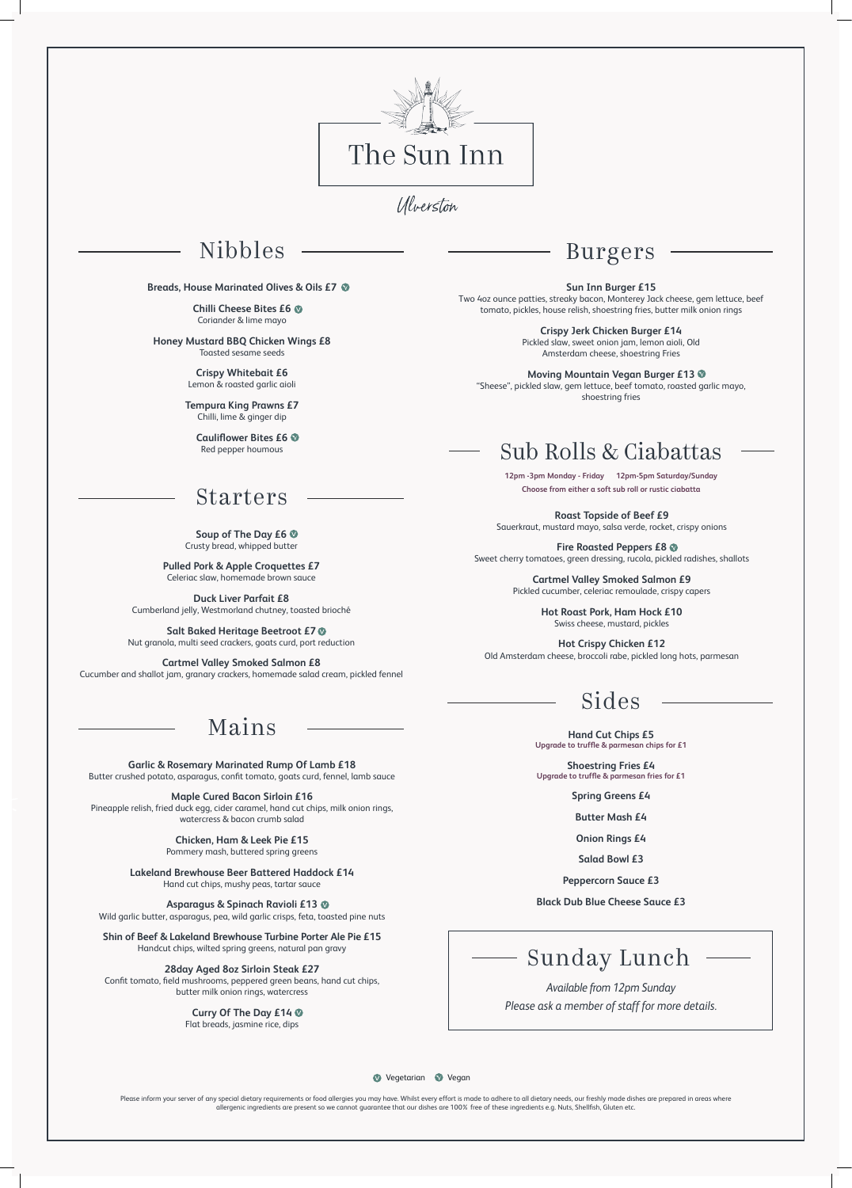

Ulverston

## Nibbles

#### **Breads, House Marinated Olives & Oils £7**

**Chilli Cheese Bites £6** Coriander & lime mayo

**Honey Mustard BBQ Chicken Wings £8** Toasted sesame seeds

> **Crispy Whitebait £6** Lemon & roasted garlic aioli

**Tempura King Prawns £7** Chilli, lime & ginger dip

**Cauliflower Bites £6** Red pepper houmous

### Starters

**Soup of The Day £6** Crusty bread, whipped butter

**Pulled Pork & Apple Croquettes £7** Celeriac slaw, homemade brown sauce

**Duck Liver Parfait £8** Cumberland jelly, Westmorland chutney, toasted brioché

**Salt Baked Heritage Beetroot £7** Nut granola, multi seed crackers, goats curd, port reduction

**Cartmel Valley Smoked Salmon £8** Cucumber and shallot jam, granary crackers, homemade salad cream, pickled fennel

## Mains

**Garlic & Rosemary Marinated Rump Of Lamb £18** Butter crushed potato, asparagus, confit tomato, goats curd, fennel, lamb sauce

**Maple Cured Bacon Sirloin £16** Pineapple relish, fried duck egg, cider caramel, hand cut chips, milk onion rings, watercress & bacon crumb salad

> **Chicken, Ham & Leek Pie £15** Pommery mash, buttered spring greens

**Lakeland Brewhouse Beer Battered Haddock £14** Hand cut chips, mushy peas, tartar sauce

#### **Asparagus & Spinach Ravioli £13**

Wild garlic butter, asparagus, pea, wild garlic crisps, feta, toasted pine nuts

#### **Shin of Beef & Lakeland Brewhouse Turbine Porter Ale Pie £15**

Handcut chips, wilted spring greens, natural pan gravy

#### **28day Aged 8oz Sirloin Steak £27**

Confit tomato, field mushrooms, peppered green beans, hand cut chips, butter milk onion rings, watercress

### **Curry Of The Day £14**

Flat breads, jasmine rice, dips

**Sun Inn Burger £15**

Please inform your server of any special dietary requirements or food allergies you may have. Whilst every effort is made to adhere to all dietary needs, our freshly made dishes are prepared in areas where allergenic ingredients are present so we cannot guarantee that our dishes are 100% free of these ingredients e.g. Nuts, Shellfish, Gluten etc.

Two 4oz ounce patties, streaky bacon, Monterey Jack cheese, gem lettuce, beef tomato, pickles, house relish, shoestring fries, butter milk onion rings

> **Crispy Jerk Chicken Burger £14** Pickled slaw, sweet onion jam, lemon aioli, Old Amsterdam cheese, shoestring Fries

**Moving Mountain Vegan Burger £13** "Sheese", pickled slaw, gem lettuce, beef tomato, roasted garlic mayo, shoestring fries



#### **Vegetarian Vegan**

**Roast Topside of Beef £9**

Sauerkraut, mustard mayo, salsa verde, rocket, crispy onions

**Fire Roasted Peppers £8** Sweet cherry tomatoes, green dressing, rucola, pickled radishes, shallots

> **Cartmel Valley Smoked Salmon £9** Pickled cucumber, celeriac remoulade, crispy capers

> > **Hot Roast Pork, Ham Hock £10** Swiss cheese, mustard, pickles

**Hot Crispy Chicken £12** Old Amsterdam cheese, broccoli rabe, pickled long hots, parmesan

## Sub Rolls & Ciabattas

**12pm -3pm Monday - Friday 12pm-5pm Saturday/Sunday Choose from either a soft sub roll or rustic ciabatta**

# Sides

**Hand Cut Chips £5 Upgrade to truffle & parmesan chips for £1**

**Shoestring Fries £4 Upgrade to truffle & parmesan fries for £1**

**Spring Greens £4**

**Butter Mash £4** 

**Onion Rings £4**

**Salad Bowl £3**

**Peppercorn Sauce £3**

#### **Black Dub Blue Cheese Sauce £3**

## Burgers